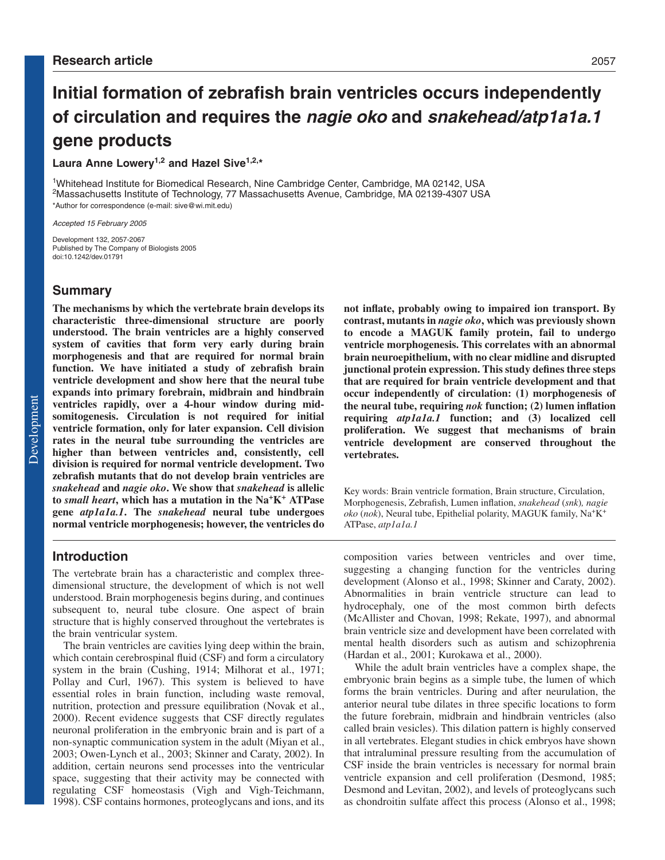# **Initial formation of zebrafish brain ventricles occurs independently of circulation and requires the nagie oko and snakehead/atp1a1a.1 gene products**

Laura Anne Lowery<sup>1,2</sup> and Hazel Sive<sup>1,2,\*</sup>

1Whitehead Institute for Biomedical Research, Nine Cambridge Center, Cambridge, MA 02142, USA 2Massachusetts Institute of Technology, 77 Massachusetts Avenue, Cambridge, MA 02139-4307 USA \*Author for correspondence (e-mail: sive@wi.mit.edu)

Accepted 15 February 2005

Development 132, 2057-2067 Published by The Company of Biologists 2005 doi:10.1242/dev.01791

# **Summary**

**The mechanisms by which the vertebrate brain develops its characteristic three-dimensional structure are poorly understood. The brain ventricles are a highly conserved system of cavities that form very early during brain morphogenesis and that are required for normal brain function. We have initiated a study of zebrafish brain ventricle development and show here that the neural tube expands into primary forebrain, midbrain and hindbrain ventricles rapidly, over a 4-hour window during midsomitogenesis. Circulation is not required for initial ventricle formation, only for later expansion. Cell division rates in the neural tube surrounding the ventricles are higher than between ventricles and, consistently, cell division is required for normal ventricle development. Two zebrafish mutants that do not develop brain ventricles are** *snakehead* **and** *nagie oko***. We show that** *snakehead* **is allelic to** *small heart***, which has a mutation in the Na+K+ ATPase gene** *atp1a1a.1***. The** *snakehead* **neural tube undergoes normal ventricle morphogenesis; however, the ventricles do**

# **Introduction**

The vertebrate brain has a characteristic and complex threedimensional structure, the development of which is not well understood. Brain morphogenesis begins during, and continues subsequent to, neural tube closure. One aspect of brain structure that is highly conserved throughout the vertebrates is the brain ventricular system.

The brain ventricles are cavities lying deep within the brain, which contain cerebrospinal fluid (CSF) and form a circulatory system in the brain (Cushing, 1914; Milhorat et al., 1971; Pollay and Curl, 1967). This system is believed to have essential roles in brain function, including waste removal, nutrition, protection and pressure equilibration (Novak et al., 2000). Recent evidence suggests that CSF directly regulates neuronal proliferation in the embryonic brain and is part of a non-synaptic communication system in the adult (Miyan et al., 2003; Owen-Lynch et al., 2003; Skinner and Caraty, 2002). In addition, certain neurons send processes into the ventricular space, suggesting that their activity may be connected with regulating CSF homeostasis (Vigh and Vigh-Teichmann, 1998). CSF contains hormones, proteoglycans and ions, and its **not inflate, probably owing to impaired ion transport. By contrast, mutants in** *nagie oko***, which was previously shown to encode a MAGUK family protein, fail to undergo ventricle morphogenesis. This correlates with an abnormal brain neuroepithelium, with no clear midline and disrupted junctional protein expression. This study defines three steps that are required for brain ventricle development and that occur independently of circulation: (1) morphogenesis of the neural tube, requiring** *nok* **function; (2) lumen inflation requiring** *atp1a1a.1* **function; and (3) localized cell proliferation. We suggest that mechanisms of brain ventricle development are conserved throughout the vertebrates.**

Key words: Brain ventricle formation, Brain structure, Circulation, Morphogenesis, Zebrafish, Lumen inflation, *snakehead* (*snk*)*, nagie oko* (*nok*), Neural tube, Epithelial polarity, MAGUK family, Na+K+ ATPase, *atp1a1a.1*

composition varies between ventricles and over time, suggesting a changing function for the ventricles during development (Alonso et al., 1998; Skinner and Caraty, 2002). Abnormalities in brain ventricle structure can lead to hydrocephaly, one of the most common birth defects (McAllister and Chovan, 1998; Rekate, 1997), and abnormal brain ventricle size and development have been correlated with mental health disorders such as autism and schizophrenia (Hardan et al., 2001; Kurokawa et al., 2000).

While the adult brain ventricles have a complex shape, the embryonic brain begins as a simple tube, the lumen of which forms the brain ventricles. During and after neurulation, the anterior neural tube dilates in three specific locations to form the future forebrain, midbrain and hindbrain ventricles (also called brain vesicles). This dilation pattern is highly conserved in all vertebrates. Elegant studies in chick embryos have shown that intraluminal pressure resulting from the accumulation of CSF inside the brain ventricles is necessary for normal brain ventricle expansion and cell proliferation (Desmond, 1985; Desmond and Levitan, 2002), and levels of proteoglycans such as chondroitin sulfate affect this process (Alonso et al., 1998;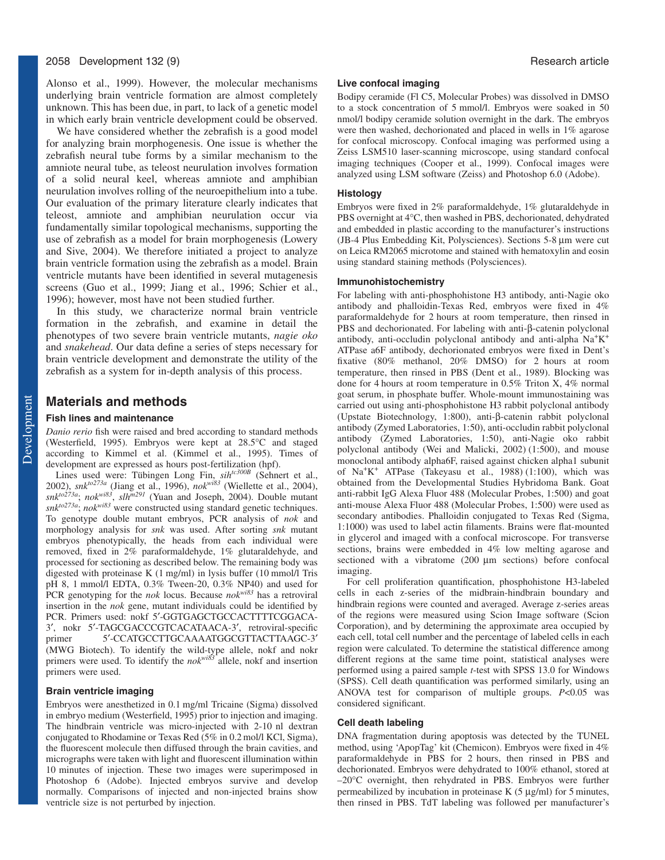Alonso et al., 1999). However, the molecular mechanisms underlying brain ventricle formation are almost completely unknown. This has been due, in part, to lack of a genetic model in which early brain ventricle development could be observed.

We have considered whether the zebrafish is a good model for analyzing brain morphogenesis. One issue is whether the zebrafish neural tube forms by a similar mechanism to the amniote neural tube, as teleost neurulation involves formation of a solid neural keel, whereas amniote and amphibian neurulation involves rolling of the neuroepithelium into a tube. Our evaluation of the primary literature clearly indicates that teleost, amniote and amphibian neurulation occur via fundamentally similar topological mechanisms, supporting the use of zebrafish as a model for brain morphogenesis (Lowery and Sive, 2004). We therefore initiated a project to analyze brain ventricle formation using the zebrafish as a model. Brain ventricle mutants have been identified in several mutagenesis screens (Guo et al., 1999; Jiang et al., 1996; Schier et al., 1996); however, most have not been studied further.

In this study, we characterize normal brain ventricle formation in the zebrafish, and examine in detail the phenotypes of two severe brain ventricle mutants, *nagie oko* and *snakehead*. Our data define a series of steps necessary for brain ventricle development and demonstrate the utility of the zebrafish as a system for in-depth analysis of this process.

# **Materials and methods**

## **Fish lines and maintenance**

*Danio rerio* fish were raised and bred according to standard methods (Westerfield, 1995). Embryos were kept at 28.5°C and staged according to Kimmel et al. (Kimmel et al., 1995). Times of development are expressed as hours post-fertilization (hpf).

Lines used were: Tübingen Long Fin,  $sih^{tc300B}$  (Sehnert et al., 2002), *snkto273a* (Jiang et al., 1996), *nokwi83* (Wiellette et al., 2004), *snkto273a*; *nokwi83*, *slhm291* (Yuan and Joseph, 2004). Double mutant *snkto273a*; *nokwi83* were constructed using standard genetic techniques. To genotype double mutant embryos, PCR analysis of *nok* and morphology analysis for *snk* was used. After sorting *snk* mutant embryos phenotypically, the heads from each individual were removed, fixed in 2% paraformaldehyde, 1% glutaraldehyde, and processed for sectioning as described below. The remaining body was digested with proteinase K (1 mg/ml) in lysis buffer (10 mmol/l Tris pH 8, 1 mmol/l EDTA, 0.3% Tween-20, 0.3% NP40) and used for PCR genotyping for the *nok* locus. Because *nokwi83* has a retroviral insertion in the *nok* gene, mutant individuals could be identified by PCR. Primers used: nokf 5′-GGTGAGCTGCCACTTTTCGGACA-3′, nokr 5′-TAGCGACCCGTCACATAACA-3′, retroviral-specific primer 5'-CCATGCCTTGCAAAATGGCGTTACTTAAGC-3' (MWG Biotech). To identify the wild-type allele, nokf and nokr primers were used. To identify the  $nok^{wi\delta 3}$  allele, nokf and insertion primers were used.

#### **Brain ventricle imaging**

Embryos were anesthetized in 0.1 mg/ml Tricaine (Sigma) dissolved in embryo medium (Westerfield, 1995) prior to injection and imaging. The hindbrain ventricle was micro-injected with 2-10 nl dextran conjugated to Rhodamine or Texas Red (5% in 0.2 mol/l KCl, Sigma), the fluorescent molecule then diffused through the brain cavities, and micrographs were taken with light and fluorescent illumination within 10 minutes of injection. These two images were superimposed in Photoshop 6 (Adobe). Injected embryos survive and develop normally. Comparisons of injected and non-injected brains show ventricle size is not perturbed by injection.

#### **Live confocal imaging**

Bodipy ceramide (Fl C5, Molecular Probes) was dissolved in DMSO to a stock concentration of 5 mmol/l. Embryos were soaked in 50 nmol/l bodipy ceramide solution overnight in the dark. The embryos were then washed, dechorionated and placed in wells in 1% agarose for confocal microscopy. Confocal imaging was performed using a Zeiss LSM510 laser-scanning microscope, using standard confocal imaging techniques (Cooper et al., 1999). Confocal images were analyzed using LSM software (Zeiss) and Photoshop 6.0 (Adobe).

#### **Histology**

Embryos were fixed in 2% paraformaldehyde, 1% glutaraldehyde in PBS overnight at 4°C, then washed in PBS, dechorionated, dehydrated and embedded in plastic according to the manufacturer's instructions (JB-4 Plus Embedding Kit, Polysciences). Sections 5-8 µm were cut on Leica RM2065 microtome and stained with hematoxylin and eosin using standard staining methods (Polysciences).

#### **Immunohistochemistry**

For labeling with anti-phosphohistone H3 antibody, anti-Nagie oko antibody and phalloidin-Texas Red, embryos were fixed in 4% paraformaldehyde for 2 hours at room temperature, then rinsed in PBS and dechorionated. For labeling with anti-β-catenin polyclonal antibody, anti-occludin polyclonal antibody and anti-alpha Na+K+ ATPase a6F antibody, dechorionated embryos were fixed in Dent's fixative (80% methanol, 20% DMSO) for 2 hours at room temperature, then rinsed in PBS (Dent et al., 1989). Blocking was done for 4 hours at room temperature in 0.5% Triton X, 4% normal goat serum, in phosphate buffer. Whole-mount immunostaining was carried out using anti-phosphohistone H3 rabbit polyclonal antibody (Upstate Biotechnology, 1:800), anti-β-catenin rabbit polyclonal antibody (Zymed Laboratories, 1:50), anti-occludin rabbit polyclonal antibody (Zymed Laboratories, 1:50), anti-Nagie oko rabbit polyclonal antibody (Wei and Malicki, 2002) (1:500), and mouse monoclonal antibody alpha6F, raised against chicken alpha1 subunit of Na+K+ ATPase (Takeyasu et al., 1988) (1:100), which was obtained from the Developmental Studies Hybridoma Bank. Goat anti-rabbit IgG Alexa Fluor 488 (Molecular Probes, 1:500) and goat anti-mouse Alexa Fluor 488 (Molecular Probes, 1:500) were used as secondary antibodies. Phalloidin conjugated to Texas Red (Sigma, 1:1000) was used to label actin filaments. Brains were flat-mounted in glycerol and imaged with a confocal microscope. For transverse sections, brains were embedded in 4% low melting agarose and sectioned with a vibratome (200  $\mu$ m sections) before confocal imaging.

For cell proliferation quantification, phosphohistone H3-labeled cells in each z-series of the midbrain-hindbrain boundary and hindbrain regions were counted and averaged. Average z-series areas of the regions were measured using Scion Image software (Scion Corporation), and by determining the approximate area occupied by each cell, total cell number and the percentage of labeled cells in each region were calculated. To determine the statistical difference among different regions at the same time point, statistical analyses were performed using a paired sample *t*-test with SPSS 13.0 for Windows (SPSS). Cell death quantification was performed similarly, using an ANOVA test for comparison of multiple groups. *P*<0.05 was considered significant.

#### **Cell death labeling**

DNA fragmentation during apoptosis was detected by the TUNEL method, using 'ApopTag' kit (Chemicon). Embryos were fixed in 4% paraformaldehyde in PBS for 2 hours, then rinsed in PBS and dechorionated. Embryos were dehydrated to 100% ethanol, stored at –20°C overnight, then rehydrated in PBS. Embryos were further permeabilized by incubation in proteinase K  $(5 \mu g/ml)$  for 5 minutes, then rinsed in PBS. TdT labeling was followed per manufacturer's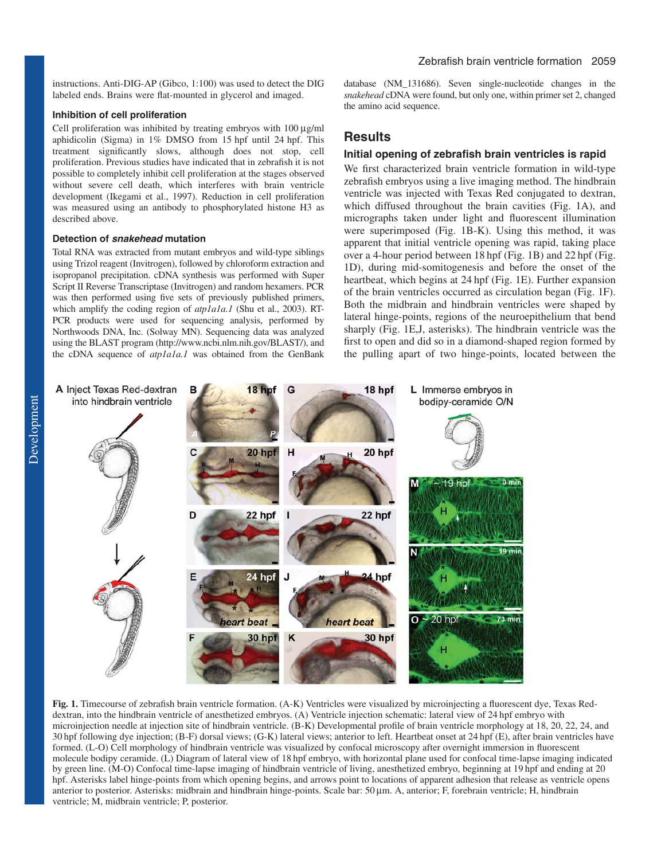instructions. Anti-DIG-AP (Gibco, 1:100) was used to detect the DIG labeled ends. Brains were flat-mounted in glycerol and imaged.

#### **Inhibition of cell proliferation**

Cell proliferation was inhibited by treating embryos with  $100 \mu g/ml$ aphidicolin (Sigma) in 1% DMSO from 15 hpf until 24 hpf. This treatment significantly slows, although does not stop, cell proliferation. Previous studies have indicated that in zebrafish it is not possible to completely inhibit cell proliferation at the stages observed without severe cell death, which interferes with brain ventricle development (Ikegami et al., 1997). Reduction in cell proliferation was measured using an antibody to phosphorylated histone H3 as described above.

#### **Detection of snakehead mutation**

Total RNA was extracted from mutant embryos and wild-type siblings using Trizol reagent (Invitrogen), followed by chloroform extraction and isopropanol precipitation. cDNA synthesis was performed with Super Script II Reverse Transcriptase (Invitrogen) and random hexamers. PCR was then performed using five sets of previously published primers, which amplify the coding region of *atp1a1a.1* (Shu et al., 2003). RT-PCR products were used for sequencing analysis, performed by Northwoods DNA, Inc. (Solway MN). Sequencing data was analyzed using the BLAST program (http://www.ncbi.nlm.nih.gov/BLAST/), and the cDNA sequence of *atp1a1a.1* was obtained from the GenBank database (NM\_131686). Seven single-nucleotide changes in the *snakehead* cDNA were found, but only one, within primer set 2, changed the amino acid sequence.

## **Results**

#### **Initial opening of zebrafish brain ventricles is rapid**

We first characterized brain ventricle formation in wild-type zebrafish embryos using a live imaging method. The hindbrain ventricle was injected with Texas Red conjugated to dextran, which diffused throughout the brain cavities (Fig. 1A), and micrographs taken under light and fluorescent illumination were superimposed (Fig. 1B-K). Using this method, it was apparent that initial ventricle opening was rapid, taking place over a 4-hour period between 18 hpf (Fig. 1B) and 22 hpf (Fig. 1D), during mid-somitogenesis and before the onset of the heartbeat, which begins at 24 hpf (Fig. 1E). Further expansion of the brain ventricles occurred as circulation began (Fig. 1F). Both the midbrain and hindbrain ventricles were shaped by lateral hinge-points, regions of the neuroepithelium that bend sharply (Fig. 1E,J, asterisks). The hindbrain ventricle was the first to open and did so in a diamond-shaped region formed by the pulling apart of two hinge-points, located between the



**Fig. 1.** Timecourse of zebrafish brain ventricle formation. (A-K) Ventricles were visualized by microinjecting a fluorescent dye, Texas Reddextran, into the hindbrain ventricle of anesthetized embryos. (A) Ventricle injection schematic: lateral view of 24 hpf embryo with microinjection needle at injection site of hindbrain ventricle. (B-K) Developmental profile of brain ventricle morphology at 18, 20, 22, 24, and 30 hpf following dye injection; (B-F) dorsal views; (G-K) lateral views; anterior to left. Heartbeat onset at 24 hpf (E), after brain ventricles have formed. (L-O) Cell morphology of hindbrain ventricle was visualized by confocal microscopy after overnight immersion in fluorescent molecule bodipy ceramide. (L) Diagram of lateral view of 18 hpf embryo, with horizontal plane used for confocal time-lapse imaging indicated by green line. (M-O) Confocal time-lapse imaging of hindbrain ventricle of living, anesthetized embryo, beginning at 19 hpf and ending at 20 hpf. Asterisks label hinge-points from which opening begins, and arrows point to locations of apparent adhesion that release as ventricle opens anterior to posterior. Asterisks: midbrain and hindbrain hinge-points. Scale bar: 50  $\mu$ m. A, anterior; F, forebrain ventricle; H, hindbrain ventricle; M, midbrain ventricle; P, posterior.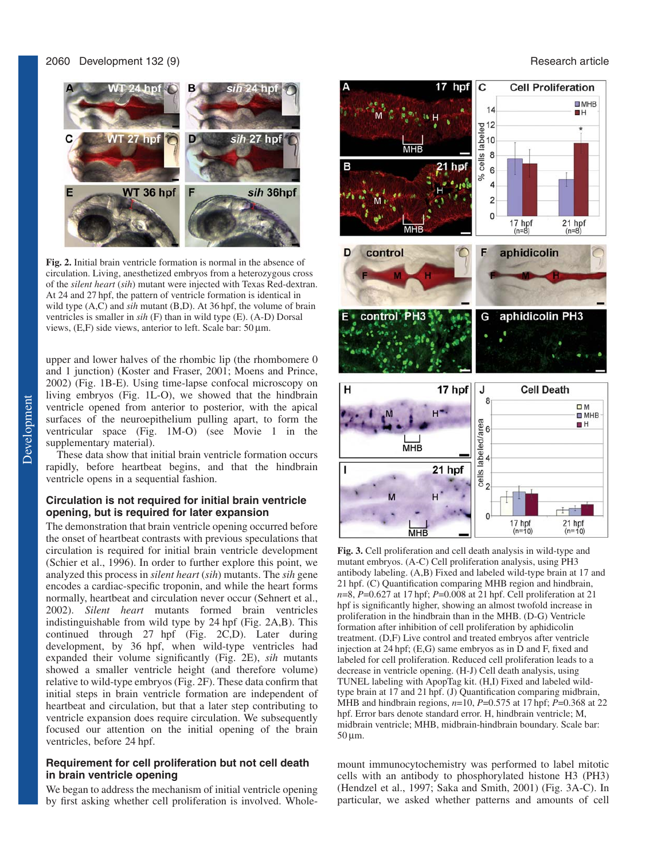

**Fig. 2.** Initial brain ventricle formation is normal in the absence of circulation. Living, anesthetized embryos from a heterozygous cross of the *silent heart* (*sih*) mutant were injected with Texas Red-dextran. At 24 and 27 hpf, the pattern of ventricle formation is identical in wild type (A,C) and *sih* mutant (B,D). At 36 hpf, the volume of brain ventricles is smaller in *sih* (F) than in wild type (E). (A-D) Dorsal views,  $(E, F)$  side views, anterior to left. Scale bar: 50  $\mu$ m.

upper and lower halves of the rhombic lip (the rhombomere 0 and 1 junction) (Koster and Fraser, 2001; Moens and Prince, 2002) (Fig. 1B-E). Using time-lapse confocal microscopy on living embryos (Fig. 1L-O), we showed that the hindbrain ventricle opened from anterior to posterior, with the apical surfaces of the neuroepithelium pulling apart, to form the ventricular space (Fig. 1M-O) (see Movie 1 in the supplementary material).

These data show that initial brain ventricle formation occurs rapidly, before heartbeat begins, and that the hindbrain ventricle opens in a sequential fashion.

## **Circulation is not required for initial brain ventricle opening, but is required for later expansion**

The demonstration that brain ventricle opening occurred before the onset of heartbeat contrasts with previous speculations that circulation is required for initial brain ventricle development (Schier et al., 1996). In order to further explore this point, we analyzed this process in *silent heart* (*sih*) mutants. The *sih* gene encodes a cardiac-specific troponin, and while the heart forms normally, heartbeat and circulation never occur (Sehnert et al., 2002). *Silent heart* mutants formed brain ventricles indistinguishable from wild type by 24 hpf (Fig. 2A,B). This continued through 27 hpf (Fig. 2C,D). Later during development, by 36 hpf, when wild-type ventricles had expanded their volume significantly (Fig. 2E), *sih* mutants showed a smaller ventricle height (and therefore volume) relative to wild-type embryos (Fig. 2F). These data confirm that initial steps in brain ventricle formation are independent of heartbeat and circulation, but that a later step contributing to ventricle expansion does require circulation. We subsequently focused our attention on the initial opening of the brain ventricles, before 24 hpf.

## **Requirement for cell proliferation but not cell death in brain ventricle opening**

We began to address the mechanism of initial ventricle opening by first asking whether cell proliferation is involved. Whole-



**Fig. 3.** Cell proliferation and cell death analysis in wild-type and mutant embryos. (A-C) Cell proliferation analysis, using PH3 antibody labeling. (A,B) Fixed and labeled wild-type brain at 17 and 21 hpf. (C) Quantification comparing MHB region and hindbrain, *n*=8, *P*=0.627 at 17 hpf; *P*=0.008 at 21 hpf. Cell proliferation at 21 hpf is significantly higher, showing an almost twofold increase in proliferation in the hindbrain than in the MHB. (D-G) Ventricle formation after inhibition of cell proliferation by aphidicolin treatment. (D,F) Live control and treated embryos after ventricle injection at 24 hpf;  $(E, G)$  same embryos as in  $\tilde{D}$  and F, fixed and labeled for cell proliferation. Reduced cell proliferation leads to a decrease in ventricle opening. (H-J) Cell death analysis, using TUNEL labeling with ApopTag kit. (H,I) Fixed and labeled wildtype brain at 17 and 21 hpf. (J) Quantification comparing midbrain, MHB and hindbrain regions, *n*=10, *P*=0.575 at 17 hpf; *P*=0.368 at 22 hpf. Error bars denote standard error. H, hindbrain ventricle; M, midbrain ventricle; MHB, midbrain-hindbrain boundary. Scale bar:  $50 \mu m$ .

mount immunocytochemistry was performed to label mitotic cells with an antibody to phosphorylated histone H3 (PH3) (Hendzel et al., 1997; Saka and Smith, 2001) (Fig. 3A-C). In particular, we asked whether patterns and amounts of cell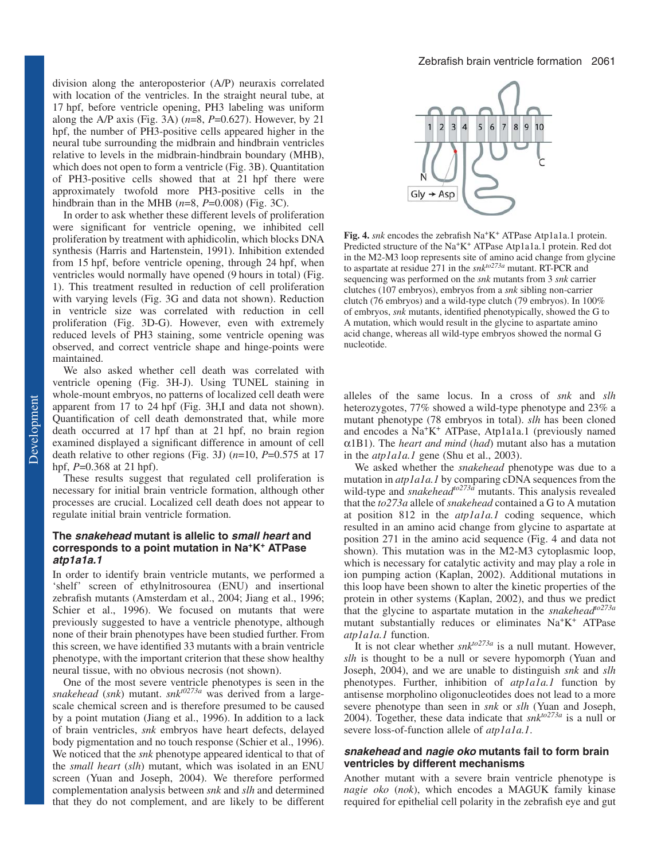division along the anteroposterior (A/P) neuraxis correlated with location of the ventricles. In the straight neural tube, at 17 hpf, before ventricle opening, PH3 labeling was uniform along the A/P axis (Fig. 3A) (*n*=8, *P*=0.627). However, by 21 hpf, the number of PH3-positive cells appeared higher in the neural tube surrounding the midbrain and hindbrain ventricles relative to levels in the midbrain-hindbrain boundary (MHB), which does not open to form a ventricle (Fig. 3B). Quantitation of PH3-positive cells showed that at 21 hpf there were approximately twofold more PH3-positive cells in the hindbrain than in the MHB  $(n=8, P=0.008)$  (Fig. 3C).

In order to ask whether these different levels of proliferation were significant for ventricle opening, we inhibited cell proliferation by treatment with aphidicolin, which blocks DNA synthesis (Harris and Hartenstein, 1991). Inhibition extended from 15 hpf, before ventricle opening, through 24 hpf, when ventricles would normally have opened (9 hours in total) (Fig. 1). This treatment resulted in reduction of cell proliferation with varying levels (Fig. 3G and data not shown). Reduction in ventricle size was correlated with reduction in cell proliferation (Fig. 3D-G). However, even with extremely reduced levels of PH3 staining, some ventricle opening was observed, and correct ventricle shape and hinge-points were maintained.

We also asked whether cell death was correlated with ventricle opening (Fig. 3H-J). Using TUNEL staining in whole-mount embryos, no patterns of localized cell death were apparent from 17 to 24 hpf (Fig. 3H,I and data not shown). Quantification of cell death demonstrated that, while more death occurred at 17 hpf than at 21 hpf, no brain region examined displayed a significant difference in amount of cell death relative to other regions (Fig. 3J) (*n*=10, *P*=0.575 at 17 hpf, *P*=0.368 at 21 hpf).

These results suggest that regulated cell proliferation is necessary for initial brain ventricle formation, although other processes are crucial. Localized cell death does not appear to regulate initial brain ventricle formation.

## **The snakehead mutant is allelic to small heart and corresponds to a point mutation in Na+K+ ATPase atp1a1a.1**

In order to identify brain ventricle mutants, we performed a 'shelf' screen of ethylnitrosourea (ENU) and insertional zebrafish mutants (Amsterdam et al., 2004; Jiang et al., 1996; Schier et al., 1996). We focused on mutants that were previously suggested to have a ventricle phenotype, although none of their brain phenotypes have been studied further. From this screen, we have identified 33 mutants with a brain ventricle phenotype, with the important criterion that these show healthy neural tissue, with no obvious necrosis (not shown).

One of the most severe ventricle phenotypes is seen in the *snakehead* (*snk*) mutant. *snkt0273a* was derived from a largescale chemical screen and is therefore presumed to be caused by a point mutation (Jiang et al., 1996). In addition to a lack of brain ventricles, *snk* embryos have heart defects, delayed body pigmentation and no touch response (Schier et al., 1996). We noticed that the *snk* phenotype appeared identical to that of the *small heart* (*slh*) mutant, which was isolated in an ENU screen (Yuan and Joseph, 2004). We therefore performed complementation analysis between *snk* and *slh* and determined that they do not complement, and are likely to be different



Fig. 4. *snk* encodes the zebrafish Na<sup>+</sup>K<sup>+</sup> ATPase Atp1a1a.1 protein. Predicted structure of the  $Na<sup>+</sup>K<sup>+</sup> ATPase Atp1a1a.1 protein. Red dot$ in the M2-M3 loop represents site of amino acid change from glycine to aspartate at residue 271 in the *snkto273a* mutant. RT-PCR and sequencing was performed on the *snk* mutants from 3 *snk* carrier clutches (107 embryos), embryos from a *snk* sibling non-carrier clutch (76 embryos) and a wild-type clutch (79 embryos). In 100% of embryos, *snk* mutants, identified phenotypically, showed the G to A mutation, which would result in the glycine to aspartate amino acid change, whereas all wild-type embryos showed the normal G nucleotide.

alleles of the same locus. In a cross of *snk* and *slh* heterozygotes, 77% showed a wild-type phenotype and 23% a mutant phenotype (78 embryos in total). *slh* has been cloned and encodes a  $Na<sup>+</sup>K<sup>+</sup> ATPase$ , Atp1a1a.1 (previously named α1B1). The *heart and mind* (*had*) mutant also has a mutation in the *atp1a1a.1* gene (Shu et al., 2003).

We asked whether the *snakehead* phenotype was due to a mutation in *atp1a1a.1* by comparing cDNA sequences from the wild-type and *snakeheadto273a* mutants. This analysis revealed that the *to273a* allele of *snakehead* contained a G to A mutation at position 812 in the *atp1a1a.1* coding sequence, which resulted in an amino acid change from glycine to aspartate at position 271 in the amino acid sequence (Fig. 4 and data not shown). This mutation was in the M2-M3 cytoplasmic loop, which is necessary for catalytic activity and may play a role in ion pumping action (Kaplan, 2002). Additional mutations in this loop have been shown to alter the kinetic properties of the protein in other systems (Kaplan, 2002), and thus we predict that the glycine to aspartate mutation in the *snakeheadto273a* mutant substantially reduces or eliminates Na+K+ ATPase *atp1a1a.1* function.

It is not clear whether  $snk^{to273a}$  is a null mutant. However, *slh* is thought to be a null or severe hypomorph (Yuan and Joseph, 2004), and we are unable to distinguish *snk* and *slh* phenotypes. Further, inhibition of *atp1a1a.1* function by antisense morpholino oligonucleotides does not lead to a more severe phenotype than seen in *snk* or *slh* (Yuan and Joseph, 2004). Together, these data indicate that *snkto273a* is a null or severe loss-of-function allele of *atp1a1a.1*.

#### **snakehead and nagie oko mutants fail to form brain ventricles by different mechanisms**

Another mutant with a severe brain ventricle phenotype is *nagie oko* (*nok*), which encodes a MAGUK family kinase required for epithelial cell polarity in the zebrafish eye and gut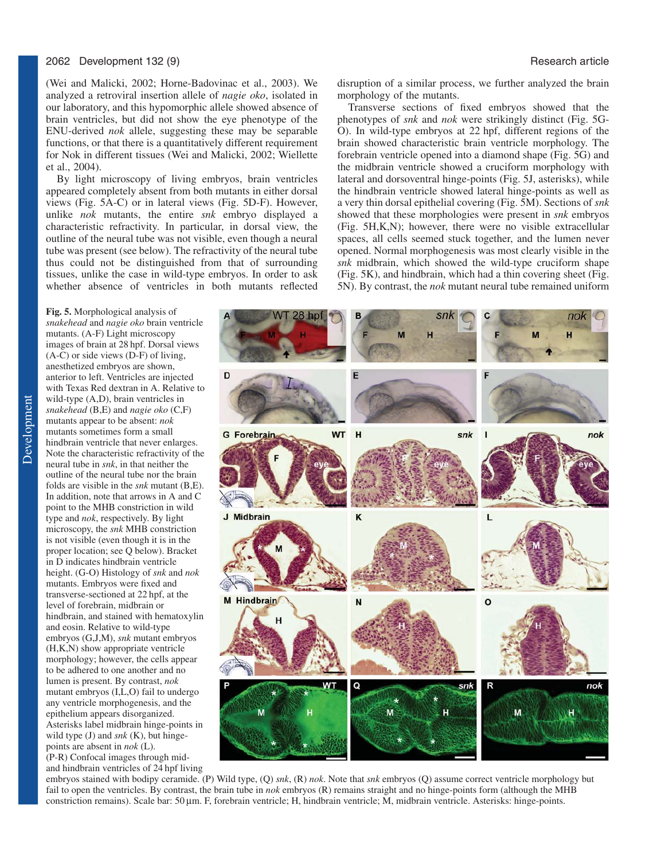#### 2062 Development 132 (9) Research article

(Wei and Malicki, 2002; Horne-Badovinac et al., 2003). We analyzed a retroviral insertion allele of *nagie oko*, isolated in our laboratory, and this hypomorphic allele showed absence of brain ventricles, but did not show the eye phenotype of the ENU-derived *nok* allele, suggesting these may be separable functions, or that there is a quantitatively different requirement for Nok in different tissues (Wei and Malicki, 2002; Wiellette et al., 2004).

By light microscopy of living embryos, brain ventricles appeared completely absent from both mutants in either dorsal views (Fig. 5A-C) or in lateral views (Fig. 5D-F). However, unlike *nok* mutants, the entire *snk* embryo displayed a characteristic refractivity. In particular, in dorsal view, the outline of the neural tube was not visible, even though a neural tube was present (see below). The refractivity of the neural tube thus could not be distinguished from that of surrounding tissues, unlike the case in wild-type embryos. In order to ask whether absence of ventricles in both mutants reflected

Development Development **Fig. 5.** Morphological analysis of *snakehead* and *nagie oko* brain ventricle mutants. (A-F) Light microscopy images of brain at 28 hpf. Dorsal views (A-C) or side views (D-F) of living, anesthetized embryos are shown, anterior to left. Ventricles are injected with Texas Red dextran in A. Relative to wild-type (A,D), brain ventricles in *snakehead* (B,E) and *nagie oko* (C,F) mutants appear to be absent: *nok* mutants sometimes form a small hindbrain ventricle that never enlarges. Note the characteristic refractivity of the neural tube in *snk*, in that neither the outline of the neural tube nor the brain folds are visible in the *snk* mutant (B,E). In addition, note that arrows in A and C point to the MHB constriction in wild type and *nok*, respectively. By light microscopy, the *snk* MHB constriction is not visible (even though it is in the proper location; see Q below). Bracket in D indicates hindbrain ventricle height. (G-O) Histology of *snk* and *nok* mutants. Embryos were fixed and transverse-sectioned at 22 hpf, at the level of forebrain, midbrain or hindbrain, and stained with hematoxylin and eosin. Relative to wild-type embryos (G,J,M), *snk* mutant embryos (H,K,N) show appropriate ventricle morphology; however, the cells appear to be adhered to one another and no lumen is present. By contrast, *nok* mutant embryos (I,L,O) fail to undergo any ventricle morphogenesis, and the epithelium appears disorganized. Asterisks label midbrain hinge-points in wild type (J) and *snk* (K), but hingepoints are absent in *nok* (L). (P-R) Confocal images through midand hindbrain ventricles of 24 hpf living

disruption of a similar process, we further analyzed the brain morphology of the mutants.

Transverse sections of fixed embryos showed that the phenotypes of *snk* and *nok* were strikingly distinct (Fig. 5G-O). In wild-type embryos at 22 hpf, different regions of the brain showed characteristic brain ventricle morphology. The forebrain ventricle opened into a diamond shape (Fig. 5G) and the midbrain ventricle showed a cruciform morphology with lateral and dorsoventral hinge-points (Fig. 5J, asterisks), while the hindbrain ventricle showed lateral hinge-points as well as a very thin dorsal epithelial covering (Fig. 5M). Sections of *snk* showed that these morphologies were present in *snk* embryos (Fig. 5H,K,N); however, there were no visible extracellular spaces, all cells seemed stuck together, and the lumen never opened. Normal morphogenesis was most clearly visible in the *snk* midbrain, which showed the wild-type cruciform shape (Fig. 5K), and hindbrain, which had a thin covering sheet (Fig. 5N). By contrast, the *nok* mutant neural tube remained uniform



embryos stained with bodipy ceramide. (P) Wild type, (Q) *snk*, (R) *nok*. Note that *snk* embryos (Q) assume correct ventricle morphology but fail to open the ventricles. By contrast, the brain tube in *nok* embryos (R) remains straight and no hinge-points form (although the MHB constriction remains). Scale bar: 50 µm. F, forebrain ventricle; H, hindbrain ventricle; M, midbrain ventricle. Asterisks: hinge-points.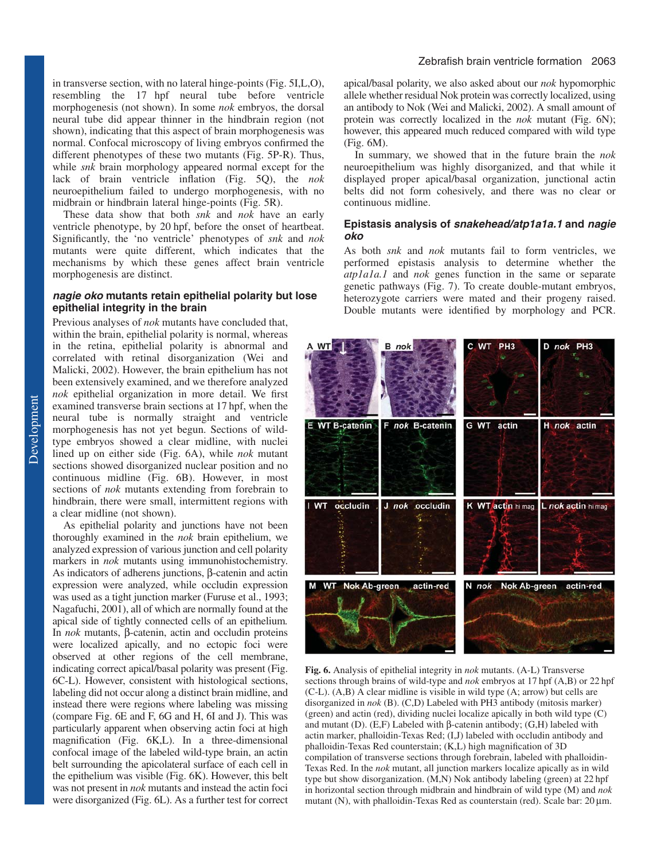in transverse section, with no lateral hinge-points (Fig. 5I,L,O), resembling the 17 hpf neural tube before ventricle morphogenesis (not shown). In some *nok* embryos, the dorsal neural tube did appear thinner in the hindbrain region (not shown), indicating that this aspect of brain morphogenesis was normal. Confocal microscopy of living embryos confirmed the different phenotypes of these two mutants (Fig. 5P-R). Thus, while *snk* brain morphology appeared normal except for the lack of brain ventricle inflation (Fig. 5Q), the *nok* neuroepithelium failed to undergo morphogenesis, with no midbrain or hindbrain lateral hinge-points (Fig. 5R).

These data show that both *snk* and *nok* have an early ventricle phenotype, by 20 hpf, before the onset of heartbeat. Significantly, the 'no ventricle' phenotypes of *snk* and *nok* mutants were quite different, which indicates that the mechanisms by which these genes affect brain ventricle morphogenesis are distinct.

## **nagie oko mutants retain epithelial polarity but lose epithelial integrity in the brain**

Previous analyses of *nok* mutants have concluded that, within the brain, epithelial polarity is normal, whereas in the retina, epithelial polarity is abnormal and correlated with retinal disorganization (Wei and Malicki, 2002). However, the brain epithelium has not been extensively examined, and we therefore analyzed *nok* epithelial organization in more detail. We first examined transverse brain sections at 17 hpf, when the neural tube is normally straight and ventricle morphogenesis has not yet begun. Sections of wildtype embryos showed a clear midline, with nuclei lined up on either side (Fig. 6A), while *nok* mutant sections showed disorganized nuclear position and no continuous midline (Fig. 6B). However, in most sections of *nok* mutants extending from forebrain to hindbrain, there were small, intermittent regions with a clear midline (not shown).

As epithelial polarity and junctions have not been thoroughly examined in the *nok* brain epithelium, we analyzed expression of various junction and cell polarity markers in *nok* mutants using immunohistochemistry. As indicators of adherens junctions, β-catenin and actin expression were analyzed, while occludin expression was used as a tight junction marker (Furuse et al., 1993; Nagafuchi, 2001), all of which are normally found at the apical side of tightly connected cells of an epithelium*.* In *nok* mutants, β-catenin, actin and occludin proteins were localized apically, and no ectopic foci were observed at other regions of the cell membrane, indicating correct apical/basal polarity was present (Fig. 6C-L). However, consistent with histological sections, labeling did not occur along a distinct brain midline, and instead there were regions where labeling was missing (compare Fig. 6E and F, 6G and H, 6I and J). This was particularly apparent when observing actin foci at high magnification (Fig. 6K,L). In a three-dimensional confocal image of the labeled wild-type brain, an actin belt surrounding the apicolateral surface of each cell in the epithelium was visible (Fig. 6K). However, this belt was not present in *nok* mutants and instead the actin foci were disorganized (Fig. 6L). As a further test for correct apical/basal polarity, we also asked about our *nok* hypomorphic allele whether residual Nok protein was correctly localized, using an antibody to Nok (Wei and Malicki, 2002). A small amount of protein was correctly localized in the *nok* mutant (Fig. 6N); however, this appeared much reduced compared with wild type (Fig. 6M).

In summary, we showed that in the future brain the *nok* neuroepithelium was highly disorganized, and that while it displayed proper apical/basal organization, junctional actin belts did not form cohesively, and there was no clear or continuous midline.

## **Epistasis analysis of snakehead/atp1a1a.1 and nagie oko**

As both *snk* and *nok* mutants fail to form ventricles, we performed epistasis analysis to determine whether the *atp1a1a.1* and *nok* genes function in the same or separate genetic pathways (Fig. 7). To create double-mutant embryos, heterozygote carriers were mated and their progeny raised. Double mutants were identified by morphology and PCR.



**Fig. 6.** Analysis of epithelial integrity in *nok* mutants. (A-L) Transverse sections through brains of wild-type and *nok* embryos at 17 hpf (A,B) or 22 hpf (C-L). (A,B) A clear midline is visible in wild type (A; arrow) but cells are disorganized in *nok* (B). (C,D) Labeled with PH3 antibody (mitosis marker) (green) and actin (red), dividing nuclei localize apically in both wild type (C) and mutant (D). (E,F) Labeled with β-catenin antibody; (G,H) labeled with actin marker, phalloidin-Texas Red; (I,J) labeled with occludin antibody and phalloidin-Texas Red counterstain; (K,L) high magnification of 3D compilation of transverse sections through forebrain, labeled with phalloidin-Texas Red. In the *nok* mutant, all junction markers localize apically as in wild type but show disorganization. (M,N) Nok antibody labeling (green) at 22 hpf in horizontal section through midbrain and hindbrain of wild type (M) and *nok* mutant (N), with phalloidin-Texas Red as counterstain (red). Scale bar: 20  $\mu$ m.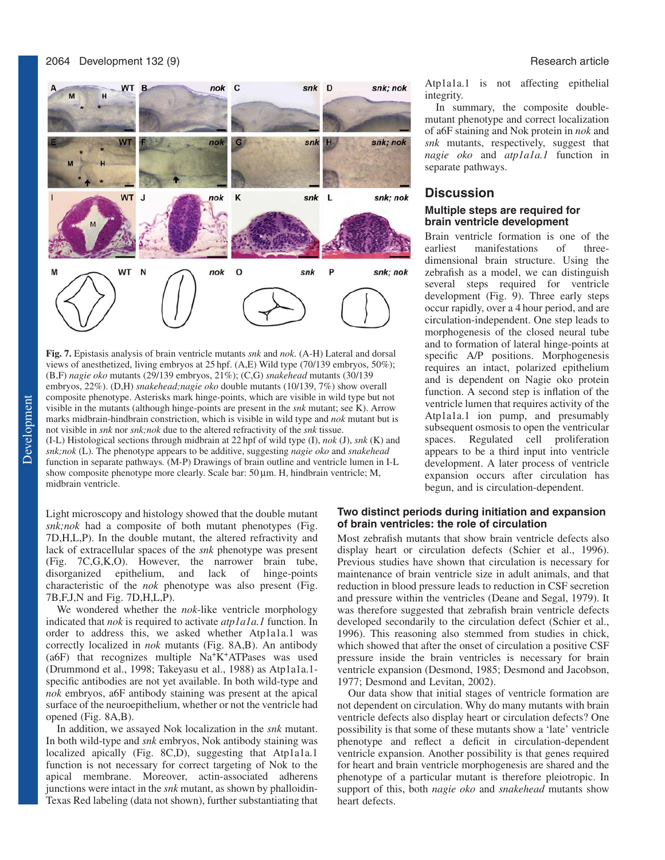

**Fig. 7.** Epistasis analysis of brain ventricle mutants *snk* and *nok.* (A-H) Lateral and dorsal views of anesthetized, living embryos at 25 hpf. (A,E) Wild type (70/139 embryos, 50%); (B,F) *nagie oko* mutants (29/139 embryos, 21%); (C,G) *snakehead* mutants (30/139 embryos, 22%). (D,H) *snakehead;nagie oko* double mutants (10/139, 7%) show overall composite phenotype. Asterisks mark hinge-points, which are visible in wild type but not visible in the mutants (although hinge-points are present in the *snk* mutant; see K). Arrow marks midbrain-hindbrain constriction, which is visible in wild type and *nok* mutant but is not visible in *snk* nor *snk;nok* due to the altered refractivity of the *snk* tissue. (I-L) Histological sections through midbrain at 22 hpf of wild type (I), *nok* (J), *snk* (K) and *snk;nok* (L). The phenotype appears to be additive, suggesting *nagie oko* and *snakehead* function in separate pathways*.* (M-P) Drawings of brain outline and ventricle lumen in I-L show composite phenotype more clearly. Scale bar: 50 µm. H, hindbrain ventricle; M, midbrain ventricle.

Light microscopy and histology showed that the double mutant *snk;nok* had a composite of both mutant phenotypes (Fig. 7D,H,L,P). In the double mutant, the altered refractivity and lack of extracellular spaces of the *snk* phenotype was present (Fig. 7C,G,K,O). However, the narrower brain tube, disorganized epithelium, and lack of hinge-points characteristic of the *nok* phenotype was also present (Fig. 7B,F,J,N and Fig. 7D,H,L,P).

We wondered whether the *nok*-like ventricle morphology indicated that *nok* is required to activate *atp1a1a.1* function. In order to address this, we asked whether Atp1a1a.1 was correctly localized in *nok* mutants (Fig. 8A,B). An antibody (a6F) that recognizes multiple Na+K+ATPases was used (Drummond et al., 1998; Takeyasu et al., 1988) as Atp1a1a.1 specific antibodies are not yet available. In both wild-type and *nok* embryos, a6F antibody staining was present at the apical surface of the neuroepithelium, whether or not the ventricle had opened (Fig. 8A,B).

In addition, we assayed Nok localization in the *snk* mutant. In both wild-type and *snk* embryos, Nok antibody staining was localized apically (Fig. 8C,D), suggesting that Atp1a1a.1 function is not necessary for correct targeting of Nok to the apical membrane. Moreover, actin-associated adherens junctions were intact in the *snk* mutant, as shown by phalloidin-Texas Red labeling (data not shown), further substantiating that Atp1a1a.1 is not affecting epithelial integrity.

In summary, the composite doublemutant phenotype and correct localization of a6F staining and Nok protein in *nok* and *snk* mutants, respectively, suggest that *nagie oko* and *atp1a1a.1* function in separate pathways.

# **Discussion**

### **Multiple steps are required for brain ventricle development**

Brain ventricle formation is one of the earliest manifestations of threedimensional brain structure. Using the zebrafish as a model, we can distinguish several steps required for ventricle development (Fig. 9). Three early steps occur rapidly, over a 4 hour period, and are circulation-independent. One step leads to morphogenesis of the closed neural tube and to formation of lateral hinge-points at specific A/P positions. Morphogenesis requires an intact, polarized epithelium and is dependent on Nagie oko protein function. A second step is inflation of the ventricle lumen that requires activity of the Atp1a1a.1 ion pump, and presumably subsequent osmosis to open the ventricular spaces. Regulated cell proliferation appears to be a third input into ventricle development. A later process of ventricle expansion occurs after circulation has begun, and is circulation-dependent.

#### **Two distinct periods during initiation and expansion of brain ventricles: the role of circulation**

Most zebrafish mutants that show brain ventricle defects also display heart or circulation defects (Schier et al., 1996). Previous studies have shown that circulation is necessary for maintenance of brain ventricle size in adult animals, and that reduction in blood pressure leads to reduction in CSF secretion and pressure within the ventricles (Deane and Segal, 1979). It was therefore suggested that zebrafish brain ventricle defects developed secondarily to the circulation defect (Schier et al., 1996). This reasoning also stemmed from studies in chick, which showed that after the onset of circulation a positive CSF pressure inside the brain ventricles is necessary for brain ventricle expansion (Desmond, 1985; Desmond and Jacobson, 1977; Desmond and Levitan, 2002).

Our data show that initial stages of ventricle formation are not dependent on circulation. Why do many mutants with brain ventricle defects also display heart or circulation defects? One possibility is that some of these mutants show a 'late' ventricle phenotype and reflect a deficit in circulation-dependent ventricle expansion. Another possibility is that genes required for heart and brain ventricle morphogenesis are shared and the phenotype of a particular mutant is therefore pleiotropic. In support of this, both *nagie oko* and *snakehead* mutants show heart defects.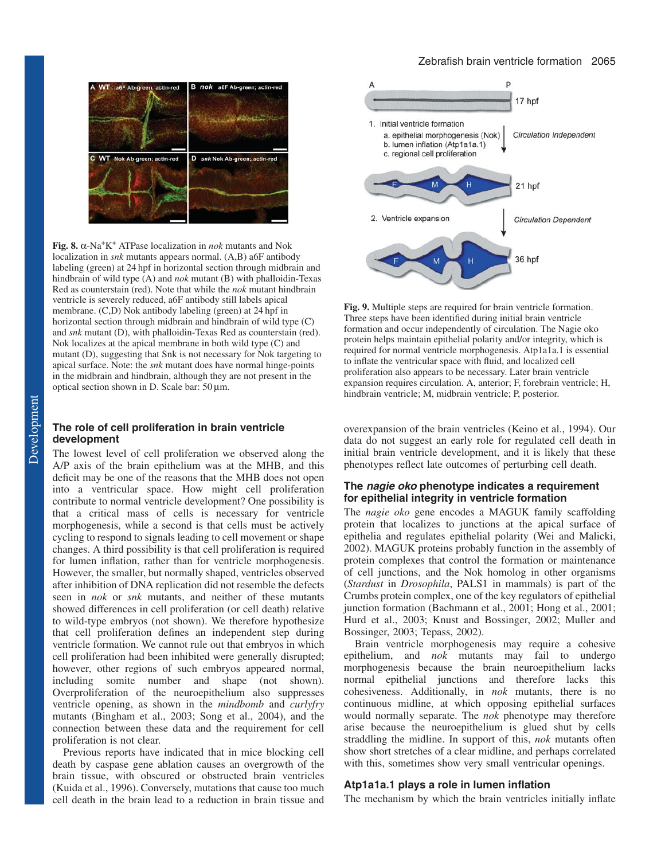

**Fig. 8.** α-Na+K+ ATPase localization in *nok* mutants and Nok localization in *snk* mutants appears normal. (A,B) a6F antibody labeling (green) at 24 hpf in horizontal section through midbrain and hindbrain of wild type (A) and *nok* mutant (B) with phalloidin-Texas Red as counterstain (red). Note that while the *nok* mutant hindbrain ventricle is severely reduced, a6F antibody still labels apical membrane. (C,D) Nok antibody labeling (green) at 24 hpf in horizontal section through midbrain and hindbrain of wild type (C) and *snk* mutant (D), with phalloidin-Texas Red as counterstain (red). Nok localizes at the apical membrane in both wild type (C) and mutant (D), suggesting that Snk is not necessary for Nok targeting to apical surface. Note: the *snk* mutant does have normal hinge-points in the midbrain and hindbrain, although they are not present in the optical section shown in D. Scale bar: 50 µm.

## **The role of cell proliferation in brain ventricle development**

The lowest level of cell proliferation we observed along the A/P axis of the brain epithelium was at the MHB, and this deficit may be one of the reasons that the MHB does not open into a ventricular space. How might cell proliferation contribute to normal ventricle development? One possibility is that a critical mass of cells is necessary for ventricle morphogenesis, while a second is that cells must be actively cycling to respond to signals leading to cell movement or shape changes. A third possibility is that cell proliferation is required for lumen inflation, rather than for ventricle morphogenesis. However, the smaller, but normally shaped, ventricles observed after inhibition of DNA replication did not resemble the defects seen in *nok* or *snk* mutants, and neither of these mutants showed differences in cell proliferation (or cell death) relative to wild-type embryos (not shown). We therefore hypothesize that cell proliferation defines an independent step during ventricle formation. We cannot rule out that embryos in which cell proliferation had been inhibited were generally disrupted; however, other regions of such embryos appeared normal, including somite number and shape (not shown). Overproliferation of the neuroepithelium also suppresses ventricle opening, as shown in the *mindbomb* and *curlyfry* mutants (Bingham et al., 2003; Song et al., 2004), and the connection between these data and the requirement for cell proliferation is not clear.

Previous reports have indicated that in mice blocking cell death by caspase gene ablation causes an overgrowth of the brain tissue, with obscured or obstructed brain ventricles (Kuida et al., 1996). Conversely, mutations that cause too much cell death in the brain lead to a reduction in brain tissue and



**Fig. 9.** Multiple steps are required for brain ventricle formation. Three steps have been identified during initial brain ventricle formation and occur independently of circulation. The Nagie oko protein helps maintain epithelial polarity and/or integrity, which is required for normal ventricle morphogenesis. Atp1a1a.1 is essential to inflate the ventricular space with fluid, and localized cell proliferation also appears to be necessary. Later brain ventricle expansion requires circulation. A, anterior; F, forebrain ventricle; H, hindbrain ventricle; M, midbrain ventricle; P, posterior.

overexpansion of the brain ventricles (Keino et al., 1994). Our data do not suggest an early role for regulated cell death in initial brain ventricle development, and it is likely that these phenotypes reflect late outcomes of perturbing cell death.

#### **The nagie oko phenotype indicates a requirement for epithelial integrity in ventricle formation**

The *nagie oko* gene encodes a MAGUK family scaffolding protein that localizes to junctions at the apical surface of epithelia and regulates epithelial polarity (Wei and Malicki, 2002). MAGUK proteins probably function in the assembly of protein complexes that control the formation or maintenance of cell junctions, and the Nok homolog in other organisms (*Stardust* in *Drosophila*, PALS1 in mammals) is part of the Crumbs protein complex, one of the key regulators of epithelial junction formation (Bachmann et al., 2001; Hong et al., 2001; Hurd et al., 2003; Knust and Bossinger, 2002; Muller and Bossinger, 2003; Tepass, 2002).

Brain ventricle morphogenesis may require a cohesive epithelium, and *nok* mutants may fail to undergo morphogenesis because the brain neuroepithelium lacks normal epithelial junctions and therefore lacks this cohesiveness. Additionally, in *nok* mutants, there is no continuous midline, at which opposing epithelial surfaces would normally separate. The *nok* phenotype may therefore arise because the neuroepithelium is glued shut by cells straddling the midline. In support of this, *nok* mutants often show short stretches of a clear midline, and perhaps correlated with this, sometimes show very small ventricular openings.

#### **Atp1a1a.1 plays a role in lumen inflation**

The mechanism by which the brain ventricles initially inflate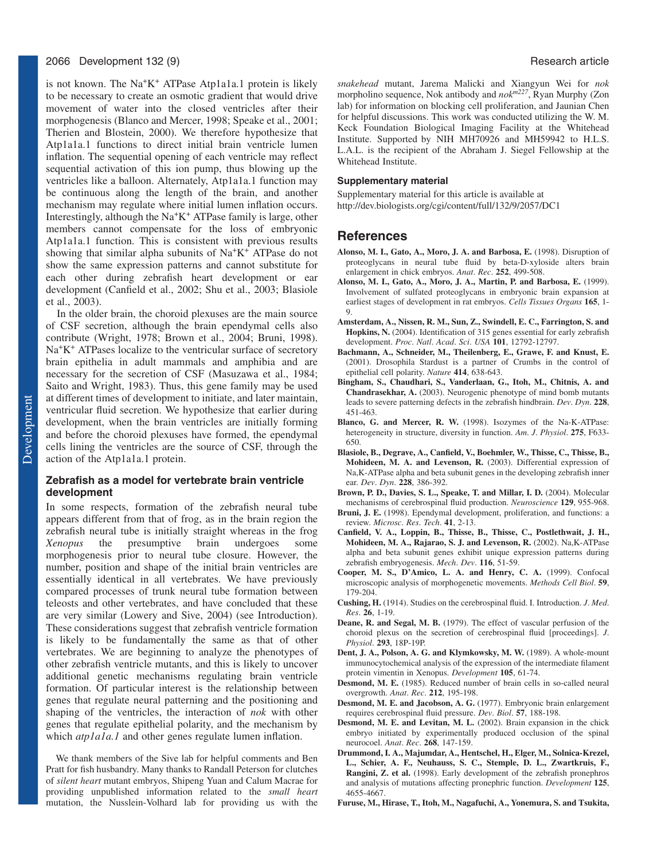is not known. The  $Na^+K^+$  ATPase Atp1a1a.1 protein is likely to be necessary to create an osmotic gradient that would drive movement of water into the closed ventricles after their morphogenesis (Blanco and Mercer, 1998; Speake et al., 2001; Therien and Blostein, 2000). We therefore hypothesize that Atp1a1a.1 functions to direct initial brain ventricle lumen inflation. The sequential opening of each ventricle may reflect sequential activation of this ion pump, thus blowing up the ventricles like a balloon. Alternately, Atp1a1a.1 function may be continuous along the length of the brain, and another mechanism may regulate where initial lumen inflation occurs. Interestingly, although the  $Na<sup>+</sup>K<sup>+</sup>ATPase$  family is large, other members cannot compensate for the loss of embryonic Atp1a1a.1 function. This is consistent with previous results showing that similar alpha subunits of  $Na<sup>+</sup>K<sup>+</sup> ATPase$  do not show the same expression patterns and cannot substitute for each other during zebrafish heart development or ear development (Canfield et al., 2002; Shu et al., 2003; Blasiole et al., 2003).

In the older brain, the choroid plexuses are the main source of CSF secretion, although the brain ependymal cells also contribute (Wright, 1978; Brown et al., 2004; Bruni, 1998).  $Na<sup>+</sup>K<sup>+</sup>$  ATPases localize to the ventricular surface of secretory brain epithelia in adult mammals and amphibia and are necessary for the secretion of CSF (Masuzawa et al., 1984; Saito and Wright, 1983). Thus, this gene family may be used at different times of development to initiate, and later maintain, ventricular fluid secretion. We hypothesize that earlier during development, when the brain ventricles are initially forming and before the choroid plexuses have formed, the ependymal cells lining the ventricles are the source of CSF, through the action of the Atp1a1a.1 protein.

### **Zebrafish as a model for vertebrate brain ventricle development**

In some respects, formation of the zebrafish neural tube appears different from that of frog, as in the brain region the zebrafish neural tube is initially straight whereas in the frog *Xenopus* the presumptive brain undergoes some morphogenesis prior to neural tube closure. However, the number, position and shape of the initial brain ventricles are essentially identical in all vertebrates. We have previously compared processes of trunk neural tube formation between teleosts and other vertebrates, and have concluded that these are very similar (Lowery and Sive, 2004) (see Introduction). These considerations suggest that zebrafish ventricle formation is likely to be fundamentally the same as that of other vertebrates. We are beginning to analyze the phenotypes of other zebrafish ventricle mutants, and this is likely to uncover additional genetic mechanisms regulating brain ventricle formation. Of particular interest is the relationship between genes that regulate neural patterning and the positioning and shaping of the ventricles, the interaction of *nok* with other genes that regulate epithelial polarity, and the mechanism by which *atp1a1a.1* and other genes regulate lumen inflation.

We thank members of the Sive lab for helpful comments and Ben Pratt for fish husbandry. Many thanks to Randall Peterson for clutches of *silent heart* mutant embryos, Shipeng Yuan and Calum Macrae for providing unpublished information related to the *small heart* mutation, the Nusslein-Volhard lab for providing us with the

*snakehead* mutant, Jarema Malicki and Xiangyun Wei for *nok* morpholino sequence, Nok antibody and *nokm227*, Ryan Murphy (Zon lab) for information on blocking cell proliferation, and Jaunian Chen for helpful discussions. This work was conducted utilizing the W. M. Keck Foundation Biological Imaging Facility at the Whitehead Institute. Supported by NIH MH70926 and MH59942 to H.L.S. L.A.L. is the recipient of the Abraham J. Siegel Fellowship at the Whitehead Institute.

#### **Supplementary material**

Supplementary material for this article is available at http://dev.biologists.org/cgi/content/full/132/9/2057/DC1

### **References**

- **Alonso, M. I., Gato, A., Moro, J. A. and Barbosa, E.** (1998). Disruption of proteoglycans in neural tube fluid by beta-D-xyloside alters brain enlargement in chick embryos. *Anat*. *Rec*. **252**, 499-508.
- **Alonso, M. I., Gato, A., Moro, J. A., Martin, P. and Barbosa, E.** (1999). Involvement of sulfated proteoglycans in embryonic brain expansion at earliest stages of development in rat embryos. *Cells Tissues Organs* **165**, 1- 9.
- **Amsterdam, A., Nissen, R. M., Sun, Z., Swindell, E. C., Farrington, S. and Hopkins, N.** (2004). Identification of 315 genes essential for early zebrafish development. *Proc*. *Natl*. *Acad*. *Sci*. *USA* **101**, 12792-12797.
- **Bachmann, A., Schneider, M., Theilenberg, E., Grawe, F. and Knust, E.** (2001). Drosophila Stardust is a partner of Crumbs in the control of epithelial cell polarity. *Nature* **414**, 638-643.
- **Bingham, S., Chaudhari, S., Vanderlaan, G., Itoh, M., Chitnis, A. and Chandrasekhar, A.** (2003). Neurogenic phenotype of mind bomb mutants leads to severe patterning defects in the zebrafish hindbrain. *Dev*. *Dyn*. **228**, 451-463.
- **Blanco, G. and Mercer, R. W.** (1998). Isozymes of the Na-K-ATPase: heterogeneity in structure, diversity in function. *Am*. *J*. *Physiol*. **275**, F633- 650.
- **Blasiole, B., Degrave, A., Canfield, V., Boehmler, W., Thisse, C., Thisse, B., Mohideen, M. A. and Levenson, R.** (2003). Differential expression of Na,K-ATPase alpha and beta subunit genes in the developing zebrafish inner ear. *Dev*. *Dyn*. **228**, 386-392.
- Brown, P. D., Davies, S. L., Speake, T. and Millar, I. D. (2004). Molecular mechanisms of cerebrospinal fluid production. *Neuroscience* **129**, 955-968.
- **Bruni, J. E.** (1998). Ependymal development, proliferation, and functions: a review. *Microsc*. *Res*. *Tech*. **41**, 2-13.
- **Canfield, V. A., Loppin, B., Thisse, B., Thisse, C., Postlethwait, J. H., Mohideen, M. A., Rajarao, S. J. and Levenson, R.** (2002). Na,K-ATPase alpha and beta subunit genes exhibit unique expression patterns during zebrafish embryogenesis. *Mech*. *Dev*. **116**, 51-59.
- Cooper, M. S., D'Amico, L. A. and Henry, C. A. (1999). Confocal microscopic analysis of morphogenetic movements. *Methods Cell Biol*. **59**, 179-204.
- **Cushing, H.** (1914). Studies on the cerebrospinal fluid. I. Introduction. *J*. *Med*. *Res*. **26**, 1-19.
- **Deane, R. and Segal, M. B.** (1979). The effect of vascular perfusion of the choroid plexus on the secretion of cerebrospinal fluid [proceedings]. *J*. *Physiol*. **293**, 18P-19P.
- **Dent, J. A., Polson, A. G. and Klymkowsky, M. W.** (1989). A whole-mount immunocytochemical analysis of the expression of the intermediate filament protein vimentin in Xenopus. *Development* **105**, 61-74.
- **Desmond, M. E.** (1985). Reduced number of brain cells in so-called neural overgrowth. *Anat*. *Rec*. **212**, 195-198.
- **Desmond, M. E. and Jacobson, A. G.** (1977). Embryonic brain enlargement requires cerebrospinal fluid pressure. *Dev*. *Biol*. **57**, 188-198.
- Desmond, M. E. and Levitan, M. L. (2002). Brain expansion in the chick embryo initiated by experimentally produced occlusion of the spinal neurocoel. *Anat*. *Rec*. **268**, 147-159.
- **Drummond, I. A., Majumdar, A., Hentschel, H., Elger, M., Solnica-Krezel, L., Schier, A. F., Neuhauss, S. C., Stemple, D. L., Zwartkruis, F., Rangini, Z. et al.** (1998). Early development of the zebrafish pronephros and analysis of mutations affecting pronephric function. *Development* **125**, 4655-4667.
- **Furuse, M., Hirase, T., Itoh, M., Nagafuchi, A., Yonemura, S. and Tsukita,**